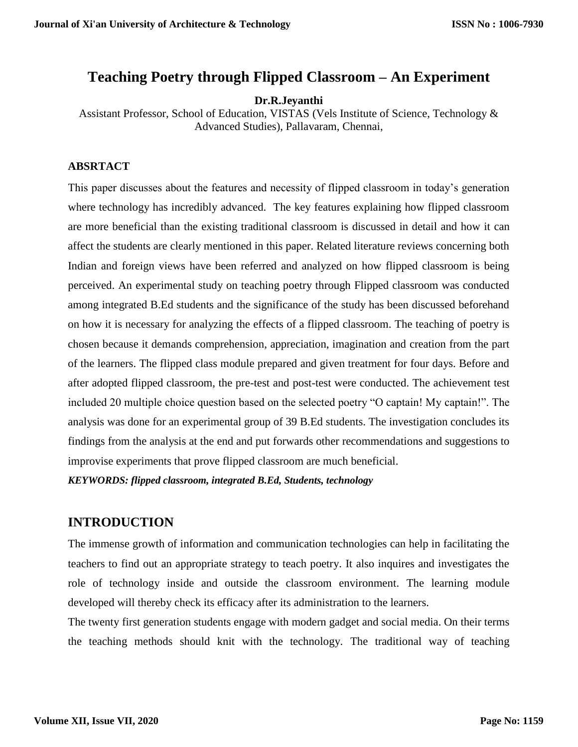# **Teaching Poetry through Flipped Classroom – An Experiment**

#### **Dr.R.Jeyanthi**

Assistant Professor, School of Education, VISTAS (Vels Institute of Science, Technology & Advanced Studies), Pallavaram, Chennai,

#### **ABSRTACT**

This paper discusses about the features and necessity of flipped classroom in today's generation where technology has incredibly advanced. The key features explaining how flipped classroom are more beneficial than the existing traditional classroom is discussed in detail and how it can affect the students are clearly mentioned in this paper. Related literature reviews concerning both Indian and foreign views have been referred and analyzed on how flipped classroom is being perceived. An experimental study on teaching poetry through Flipped classroom was conducted among integrated B.Ed students and the significance of the study has been discussed beforehand on how it is necessary for analyzing the effects of a flipped classroom. The teaching of poetry is chosen because it demands comprehension, appreciation, imagination and creation from the part of the learners. The flipped class module prepared and given treatment for four days. Before and after adopted flipped classroom, the pre-test and post-test were conducted. The achievement test included 20 multiple choice question based on the selected poetry "O captain! My captain!". The analysis was done for an experimental group of 39 B.Ed students. The investigation concludes its findings from the analysis at the end and put forwards other recommendations and suggestions to improvise experiments that prove flipped classroom are much beneficial.

*KEYWORDS: flipped classroom, integrated B.Ed, Students, technology*

# **INTRODUCTION**

The immense growth of information and communication technologies can help in facilitating the teachers to find out an appropriate strategy to teach poetry. It also inquires and investigates the role of technology inside and outside the classroom environment. The learning module developed will thereby check its efficacy after its administration to the learners.

The twenty first generation students engage with modern gadget and social media. On their terms the teaching methods should knit with the technology. The traditional way of teaching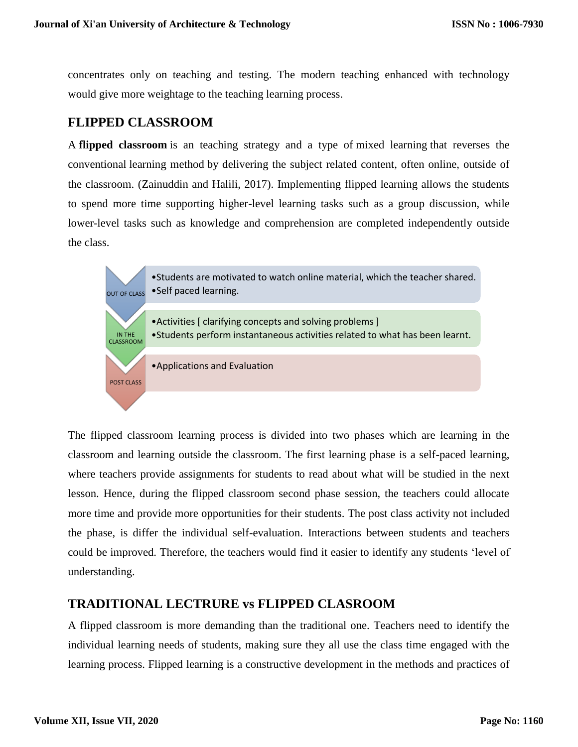concentrates only on teaching and testing. The modern teaching enhanced with technology would give more weightage to the teaching learning process.

## **FLIPPED CLASSROOM**

A **flipped classroom** is an teaching strategy and a type of [mixed learning](https://en.wikipedia.org/wiki/Blended_learning) that reverses the conventional [learning](https://en.wikipedia.org/wiki/Learning_environment) method by delivering the subject related content, often online, outside of the classroom. (Zainuddin and Halili, 2017). Implementing flipped learning allows the students to spend more time supporting higher-level learning tasks such as a group discussion, while lower-level tasks such as knowledge and comprehension are completed independently outside the class.



The flipped classroom learning process is divided into two phases which are learning in the classroom and learning outside the classroom. The first learning phase is a self-paced learning, where teachers provide assignments for students to read about what will be studied in the next lesson. Hence, during the flipped classroom second phase session, the teachers could allocate more time and provide more opportunities for their students. The post class activity not included the phase, is differ the individual self-evaluation. Interactions between students and teachers could be improved. Therefore, the teachers would find it easier to identify any students 'level of understanding.

# **TRADITIONAL LECTRURE vs FLIPPED CLASROOM**

A flipped classroom is more demanding than the traditional one. Teachers need to identify the individual learning needs of students, making sure they all use the class time engaged with the learning process. Flipped learning is a constructive development in the methods and practices of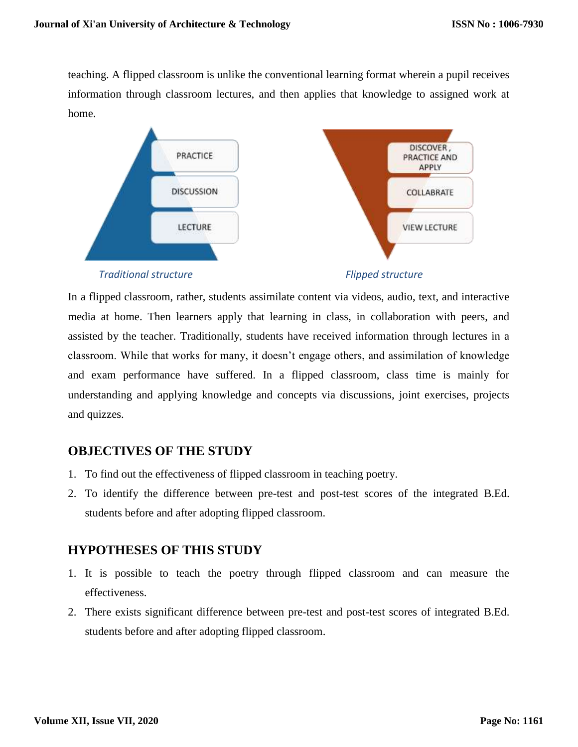teaching. A flipped classroom is unlike the conventional learning format wherein a pupil receives information through classroom lectures, and then applies that knowledge to assigned work at home.



#### *Traditional structure Flipped structure*

**APPLY** 

In a flipped classroom, rather, students assimilate content via videos, audio, text, and interactive media at home. Then learners apply that learning in class, in collaboration with peers, and assisted by the teacher. Traditionally, students have received information through lectures in a classroom. While that works for many, it doesn't engage others, and assimilation of knowledge and exam performance have suffered. In a flipped classroom, class time is mainly for understanding and applying knowledge and concepts via discussions, joint exercises, projects and quizzes.

# **OBJECTIVES OF THE STUDY**

- 1. To find out the effectiveness of flipped classroom in teaching poetry.
- 2. To identify the difference between pre-test and post-test scores of the integrated B.Ed. students before and after adopting flipped classroom.

# **HYPOTHESES OF THIS STUDY**

- 1. It is possible to teach the poetry through flipped classroom and can measure the effectiveness.
- 2. There exists significant difference between pre-test and post-test scores of integrated B.Ed. students before and after adopting flipped classroom.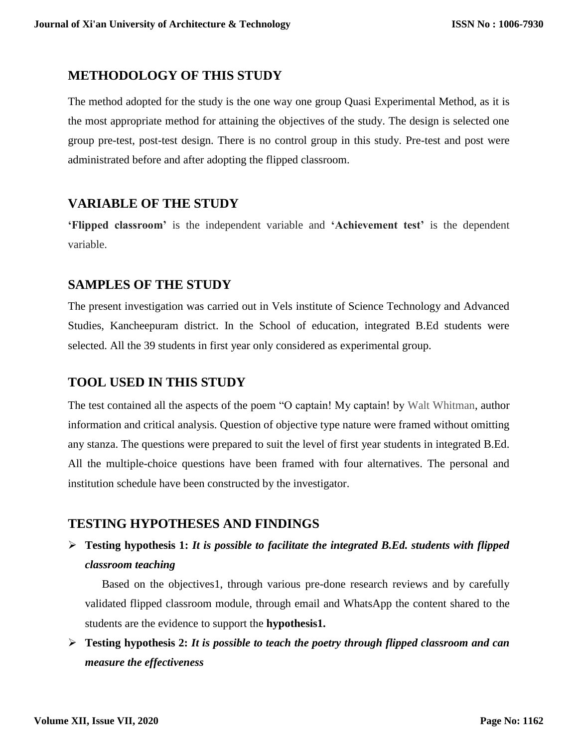### **METHODOLOGY OF THIS STUDY**

The method adopted for the study is the one way one group Quasi Experimental Method, as it is the most appropriate method for attaining the objectives of the study. The design is selected one group pre-test, post-test design. There is no control group in this study. Pre-test and post were administrated before and after adopting the flipped classroom.

# **VARIABLE OF THE STUDY**

**'Flipped classroom'** is the independent variable and **'Achievement test'** is the dependent variable.

## **SAMPLES OF THE STUDY**

The present investigation was carried out in Vels institute of Science Technology and Advanced Studies, Kancheepuram district. In the School of education, integrated B.Ed students were selected. All the 39 students in first year only considered as experimental group.

# **TOOL USED IN THIS STUDY**

The test contained all the aspects of the poem "O captain! My captain! by Walt Whitman, author information and critical analysis. Question of objective type nature were framed without omitting any stanza. The questions were prepared to suit the level of first year students in integrated B.Ed. All the multiple-choice questions have been framed with four alternatives. The personal and institution schedule have been constructed by the investigator.

# **TESTING HYPOTHESES AND FINDINGS**

# **Testing hypothesis 1:** *It is possible to facilitate the integrated B.Ed. students with flipped classroom teaching*

Based on the objectives1, through various pre-done research reviews and by carefully validated flipped classroom module, through email and WhatsApp the content shared to the students are the evidence to support the **hypothesis1.**

 **Testing hypothesis 2:** *It is possible to teach the poetry through flipped classroom and can measure the effectiveness*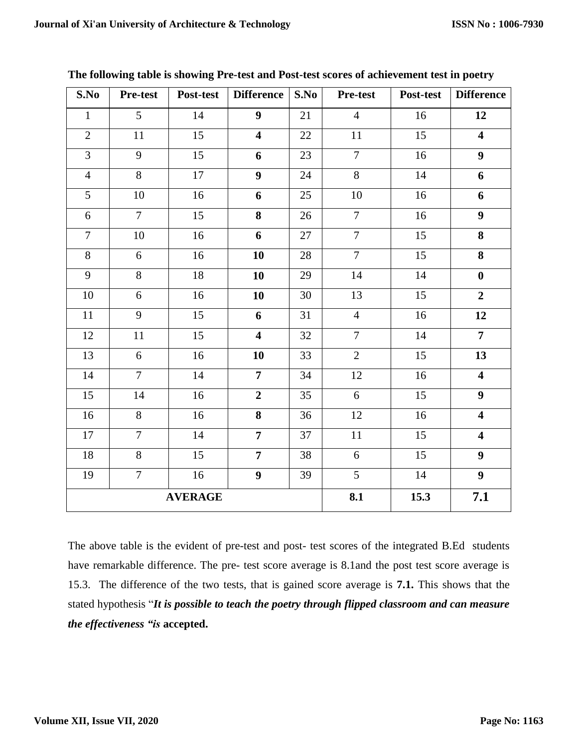| S.No            | Pre-test       | Post-test       | <b>Difference</b>       | S.No            | <b>Pre-test</b> | Post-test       | <b>Difference</b>       |
|-----------------|----------------|-----------------|-------------------------|-----------------|-----------------|-----------------|-------------------------|
| $\mathbf{1}$    | 5              | 14              | $\boldsymbol{9}$        | 21              | $\overline{4}$  | 16              | 12                      |
| $\overline{2}$  | 11             | $\overline{15}$ | $\overline{\mathbf{4}}$ | $\overline{22}$ | $\overline{11}$ | $\overline{15}$ | $\overline{\mathbf{4}}$ |
| $\overline{3}$  | 9              | 15              | 6                       | 23              | $\overline{7}$  | 16              | $\boldsymbol{9}$        |
| $\overline{4}$  | $\overline{8}$ | 17              | $\overline{9}$          | 24              | 8               | 14              | 6                       |
| $\overline{5}$  | 10             | 16              | 6                       | 25              | 10              | 16              | 6                       |
| 6               | $\overline{7}$ | $\overline{15}$ | $\overline{\mathbf{8}}$ | 26              | $\overline{7}$  | 16              | $\overline{9}$          |
| $\overline{7}$  | 10             | 16              | 6                       | 27              | $\overline{7}$  | $\overline{15}$ | $\overline{\mathbf{8}}$ |
| $\overline{8}$  | 6              | 16              | 10                      | 28              | $\overline{7}$  | $\overline{15}$ | $\overline{\mathbf{8}}$ |
| $\overline{9}$  | $\overline{8}$ | 18              | 10                      | 29              | 14              | $\overline{14}$ | $\bf{0}$                |
| 10              | 6              | $16\,$          | 10                      | 30              | 13              | 15              | $\overline{2}$          |
| $11\,$          | $\overline{9}$ | 15              | 6                       | 31              | $\overline{4}$  | 16              | 12                      |
| 12              | 11             | 15              | $\overline{\mathbf{4}}$ | 32              | $\overline{7}$  | 14              | $\overline{7}$          |
| 13              | $\overline{6}$ | 16              | 10                      | 33              | $\overline{2}$  | $\overline{15}$ | $\overline{13}$         |
| 14              | $\overline{7}$ | 14              | $\overline{7}$          | 34              | 12              | 16              | $\overline{\mathbf{4}}$ |
| 15              | 14             | 16              | $\overline{2}$          | 35              | $\overline{6}$  | $\overline{15}$ | $\overline{9}$          |
| 16              | $\overline{8}$ | 16              | $\overline{\mathbf{8}}$ | 36              | 12              | 16              | $\overline{\mathbf{4}}$ |
| $\overline{17}$ | $\overline{7}$ | $\overline{14}$ | $\overline{7}$          | $\overline{37}$ | $\overline{11}$ | 15              | $\overline{\mathbf{4}}$ |
| 18              | 8              | 15              | $\overline{7}$          | 38              | 6               | 15              | $\boldsymbol{9}$        |
| 19              | $\overline{7}$ | 16              | $\overline{9}$          | 39              | $\overline{5}$  | $\overline{14}$ | $\overline{9}$          |
| <b>AVERAGE</b>  |                |                 |                         |                 | 8.1             | 15.3            | 7.1                     |

**The following table is showing Pre-test and Post-test scores of achievement test in poetry**

The above table is the evident of pre-test and post- test scores of the integrated B.Ed students have remarkable difference. The pre- test score average is 8.1and the post test score average is 15.3. The difference of the two tests, that is gained score average is **7.1.** This shows that the stated hypothesis "*It is possible to teach the poetry through flipped classroom and can measure the effectiveness "is* **accepted.**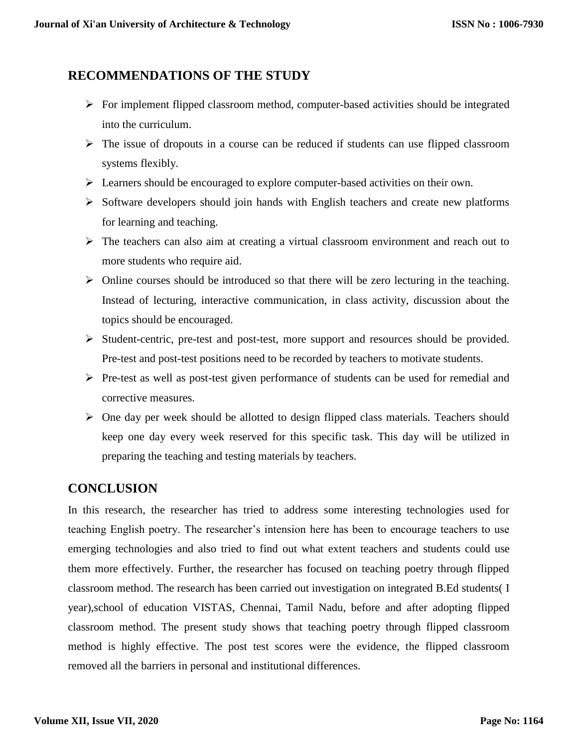# **RECOMMENDATIONS OF THE STUDY**

- $\triangleright$  For implement flipped classroom method, computer-based activities should be integrated into the curriculum.
- $\triangleright$  The issue of dropouts in a course can be reduced if students can use flipped classroom systems flexibly.
- Exercise Should be encouraged to explore computer-based activities on their own.
- $\triangleright$  Software developers should join hands with English teachers and create new platforms for learning and teaching.
- $\triangleright$  The teachers can also aim at creating a virtual classroom environment and reach out to more students who require aid.
- $\triangleright$  Online courses should be introduced so that there will be zero lecturing in the teaching. Instead of lecturing, interactive communication, in class activity, discussion about the topics should be encouraged.
- $\triangleright$  Student-centric, pre-test and post-test, more support and resources should be provided. Pre-test and post-test positions need to be recorded by teachers to motivate students.
- $\triangleright$  Pre-test as well as post-test given performance of students can be used for remedial and corrective measures.
- $\triangleright$  One day per week should be allotted to design flipped class materials. Teachers should keep one day every week reserved for this specific task. This day will be utilized in preparing the teaching and testing materials by teachers.

# **CONCLUSION**

In this research, the researcher has tried to address some interesting technologies used for teaching English poetry. The researcher's intension here has been to encourage teachers to use emerging technologies and also tried to find out what extent teachers and students could use them more effectively. Further, the researcher has focused on teaching poetry through flipped classroom method. The research has been carried out investigation on integrated B.Ed students( I year),school of education VISTAS, Chennai, Tamil Nadu, before and after adopting flipped classroom method. The present study shows that teaching poetry through flipped classroom method is highly effective. The post test scores were the evidence, the flipped classroom removed all the barriers in personal and institutional differences.